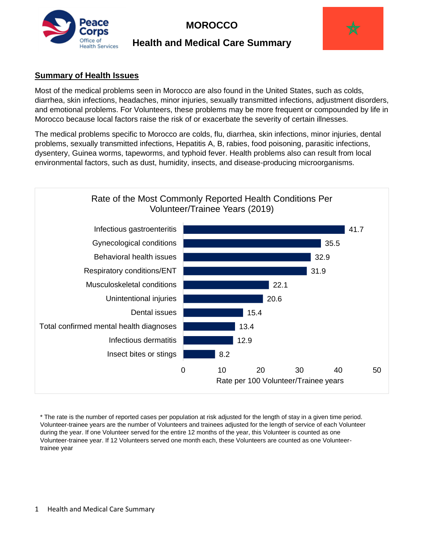

# **MOROCCO**

# **Health and Medical Care Summary**



## **Summary of Health Issues**

Most of the medical problems seen in Morocco are also found in the United States, such as colds, diarrhea, skin infections, headaches, minor injuries, sexually transmitted infections, adjustment disorders, and emotional problems. For Volunteers, these problems may be more frequent or compounded by life in Morocco because local factors raise the risk of or exacerbate the severity of certain illnesses.

The medical problems specific to Morocco are colds, flu, diarrhea, skin infections, minor injuries, dental problems, sexually transmitted infections, Hepatitis A, B, rabies, food poisoning, parasitic infections, dysentery, Guinea worms, tapeworms, and typhoid fever. Health problems also can result from local environmental factors, such as dust, humidity, insects, and disease-producing microorganisms.



\* The rate is the number of reported cases per population at risk adjusted for the length of stay in a given time period. Volunteer-trainee years are the number of Volunteers and trainees adjusted for the length of service of each Volunteer during the year. If one Volunteer served for the entire 12 months of the year, this Volunteer is counted as one Volunteer-trainee year. If 12 Volunteers served one month each, these Volunteers are counted as one Volunteertrainee year